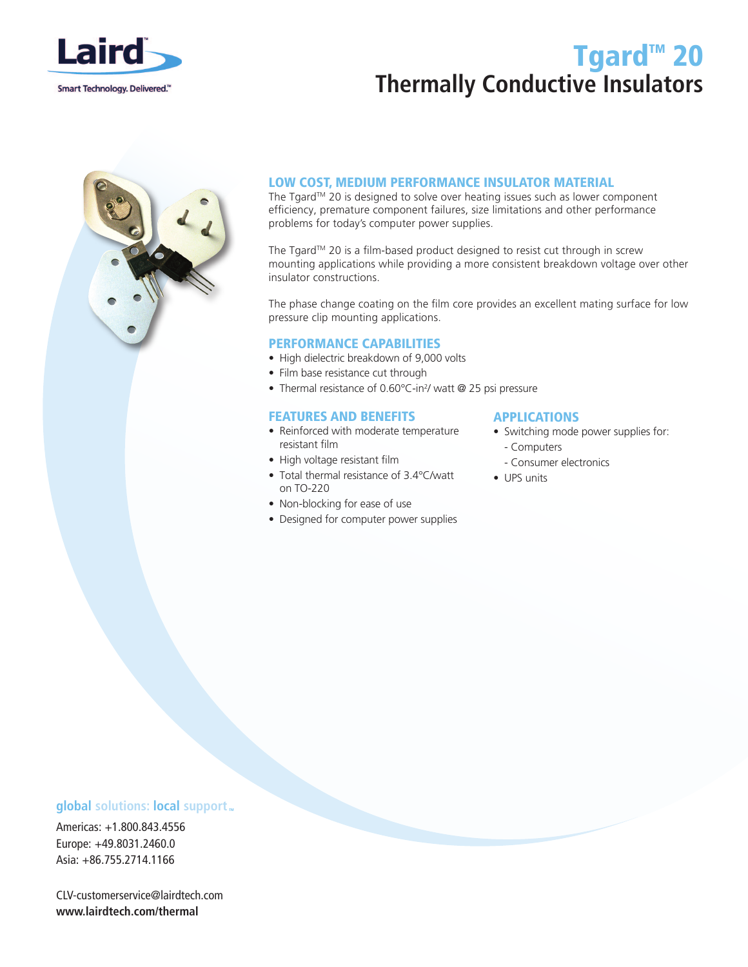

# Tgard<sup>™</sup> 20 **Thermally Conductive Insulators**



## LOW COST, MEDIUM PERFORMANCE INSULATOR MATERIAL

The Tgard™ 20 is designed to solve over heating issues such as lower component efficiency, premature component failures, size limitations and other performance problems for today's computer power supplies.

The Tgard™ 20 is a film-based product designed to resist cut through in screw mounting applications while providing a more consistent breakdown voltage over other insulator constructions.

The phase change coating on the film core provides an excellent mating surface for low pressure clip mounting applications.

### PERFORMANCE CAPABILITIES

- High dielectric breakdown of 9,000 volts
- Film base resistance cut through
- Thermal resistance of 0.60°C-in<sup>2</sup>/ watt @ 25 psi pressure

### FEATURES AND BENEFITS

- Reinforced with moderate temperature resistant film
- High voltage resistant film
- Total thermal resistance of 3.4°C/watt on TO-220
- Non-blocking for ease of use
- Designed for computer power supplies

### APPLICATIONS

- Switching mode power supplies for:
	- Computers
	- Consumer electronics
- UPS units

## **global** solutions: local support  $\mathbf{r}$

Americas: +1.800.843.4556 Europe: +49.8031.2460.0 Asia: +86.755.2714.1166

CLV-customerservice@lairdtech.com **www.lairdtech.com/thermal**